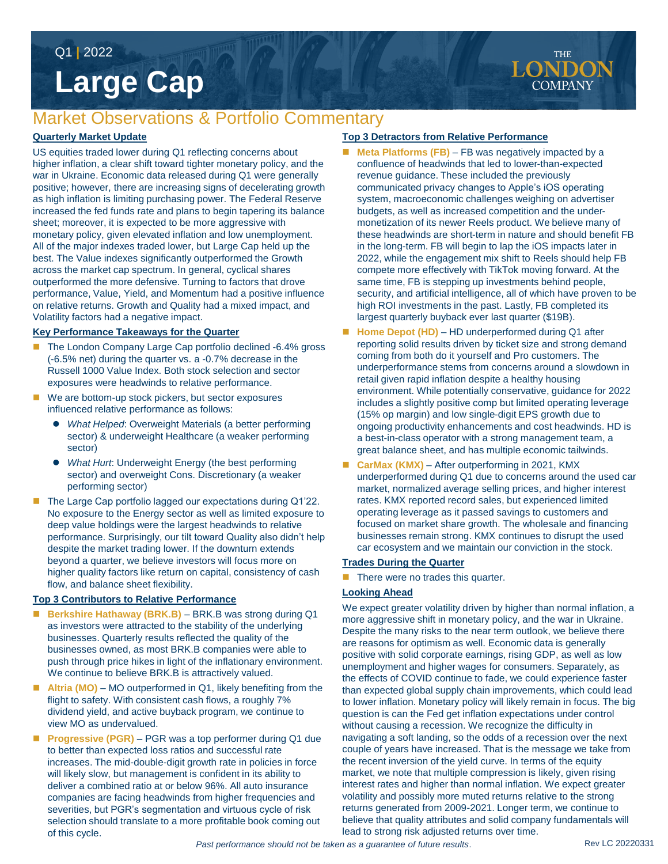Q1 **|** 2022

# **Large Cap**

# Market Observations & Portfolio Commentary

#### **Quarterly Market Update**

US equities traded lower during Q1 reflecting concerns about higher inflation, a clear shift toward tighter monetary policy, and the war in Ukraine. Economic data released during Q1 were generally positive; however, there are increasing signs of decelerating growth as high inflation is limiting purchasing power. The Federal Reserve increased the fed funds rate and plans to begin tapering its balance sheet; moreover, it is expected to be more aggressive with monetary policy, given elevated inflation and low unemployment. All of the major indexes traded lower, but Large Cap held up the best. The Value indexes significantly outperformed the Growth across the market cap spectrum. In general, cyclical shares outperformed the more defensive. Turning to factors that drove performance, Value, Yield, and Momentum had a positive influence on relative returns. Growth and Quality had a mixed impact, and Volatility factors had a negative impact.

#### **Key Performance Takeaways for the Quarter**

- The London Company Large Cap portfolio declined -6.4% gross (-6.5% net) during the quarter vs. a -0.7% decrease in the Russell 1000 Value Index. Both stock selection and sector exposures were headwinds to relative performance.
- We are bottom-up stock pickers, but sector exposures influenced relative performance as follows:
	- *What Helped*: Overweight Materials (a better performing sector) & underweight Healthcare (a weaker performing sector)
	- *What Hurt*: Underweight Energy (the best performing sector) and overweight Cons. Discretionary (a weaker performing sector)
- The Large Cap portfolio lagged our expectations during Q1'22. No exposure to the Energy sector as well as limited exposure to deep value holdings were the largest headwinds to relative performance. Surprisingly, our tilt toward Quality also didn't help despite the market trading lower. If the downturn extends beyond a quarter, we believe investors will focus more on higher quality factors like return on capital, consistency of cash flow, and balance sheet flexibility.

#### **Top 3 Contributors to Relative Performance**

- **Berkshire Hathaway (BRK.B)**  BRK.B was strong during Q1 as investors were attracted to the stability of the underlying businesses. Quarterly results reflected the quality of the businesses owned, as most BRK.B companies were able to push through price hikes in light of the inflationary environment. We continue to believe BRK.B is attractively valued.
- Altria (MO) MO outperformed in Q1, likely benefiting from the flight to safety. With consistent cash flows, a roughly 7% dividend yield, and active buyback program, we continue to view MO as undervalued.
- **Progressive (PGR)** PGR was a top performer during Q1 due to better than expected loss ratios and successful rate increases. The mid-double-digit growth rate in policies in force will likely slow, but management is confident in its ability to deliver a combined ratio at or below 96%. All auto insurance companies are facing headwinds from higher frequencies and severities, but PGR's segmentation and virtuous cycle of risk selection should translate to a more profitable book coming out of this cycle.

#### **Top 3 Detractors from Relative Performance**

- **Meta Platforms (FB)** FB was negatively impacted by a confluence of headwinds that led to lower-than-expected revenue guidance. These included the previously communicated privacy changes to Apple's iOS operating system, macroeconomic challenges weighing on advertiser budgets, as well as increased competition and the undermonetization of its newer Reels product. We believe many of these headwinds are short-term in nature and should benefit FB in the long-term. FB will begin to lap the iOS impacts later in 2022, while the engagement mix shift to Reels should help FB compete more effectively with TikTok moving forward. At the same time, FB is stepping up investments behind people, security, and artificial intelligence, all of which have proven to be high ROI investments in the past. Lastly, FB completed its largest quarterly buyback ever last quarter (\$19B).
- Home Depot (HD) HD underperformed during Q1 after reporting solid results driven by ticket size and strong demand coming from both do it yourself and Pro customers. The underperformance stems from concerns around a slowdown in retail given rapid inflation despite a healthy housing environment. While potentially conservative, guidance for 2022 includes a slightly positive comp but limited operating leverage (15% op margin) and low single-digit EPS growth due to ongoing productivity enhancements and cost headwinds. HD is a best-in-class operator with a strong management team, a great balance sheet, and has multiple economic tailwinds.
- CarMax (KMX) After outperforming in 2021, KMX underperformed during Q1 due to concerns around the used car market, normalized average selling prices, and higher interest rates. KMX reported record sales, but experienced limited operating leverage as it passed savings to customers and focused on market share growth. The wholesale and financing businesses remain strong. KMX continues to disrupt the used car ecosystem and we maintain our conviction in the stock.

#### **Trades During the Quarter**

 $\blacksquare$  There were no trades this quarter.

#### **Looking Ahead**

We expect greater volatility driven by higher than normal inflation, a more aggressive shift in monetary policy, and the war in Ukraine. Despite the many risks to the near term outlook, we believe there are reasons for optimism as well. Economic data is generally positive with solid corporate earnings, rising GDP, as well as low unemployment and higher wages for consumers. Separately, as the effects of COVID continue to fade, we could experience faster than expected global supply chain improvements, which could lead to lower inflation. Monetary policy will likely remain in focus. The big question is can the Fed get inflation expectations under control without causing a recession. We recognize the difficulty in navigating a soft landing, so the odds of a recession over the next couple of years have increased. That is the message we take from the recent inversion of the yield curve. In terms of the equity market, we note that multiple compression is likely, given rising interest rates and higher than normal inflation. We expect greater volatility and possibly more muted returns relative to the strong returns generated from 2009-2021. Longer term, we continue to believe that quality attributes and solid company fundamentals will lead to strong risk adjusted returns over time.